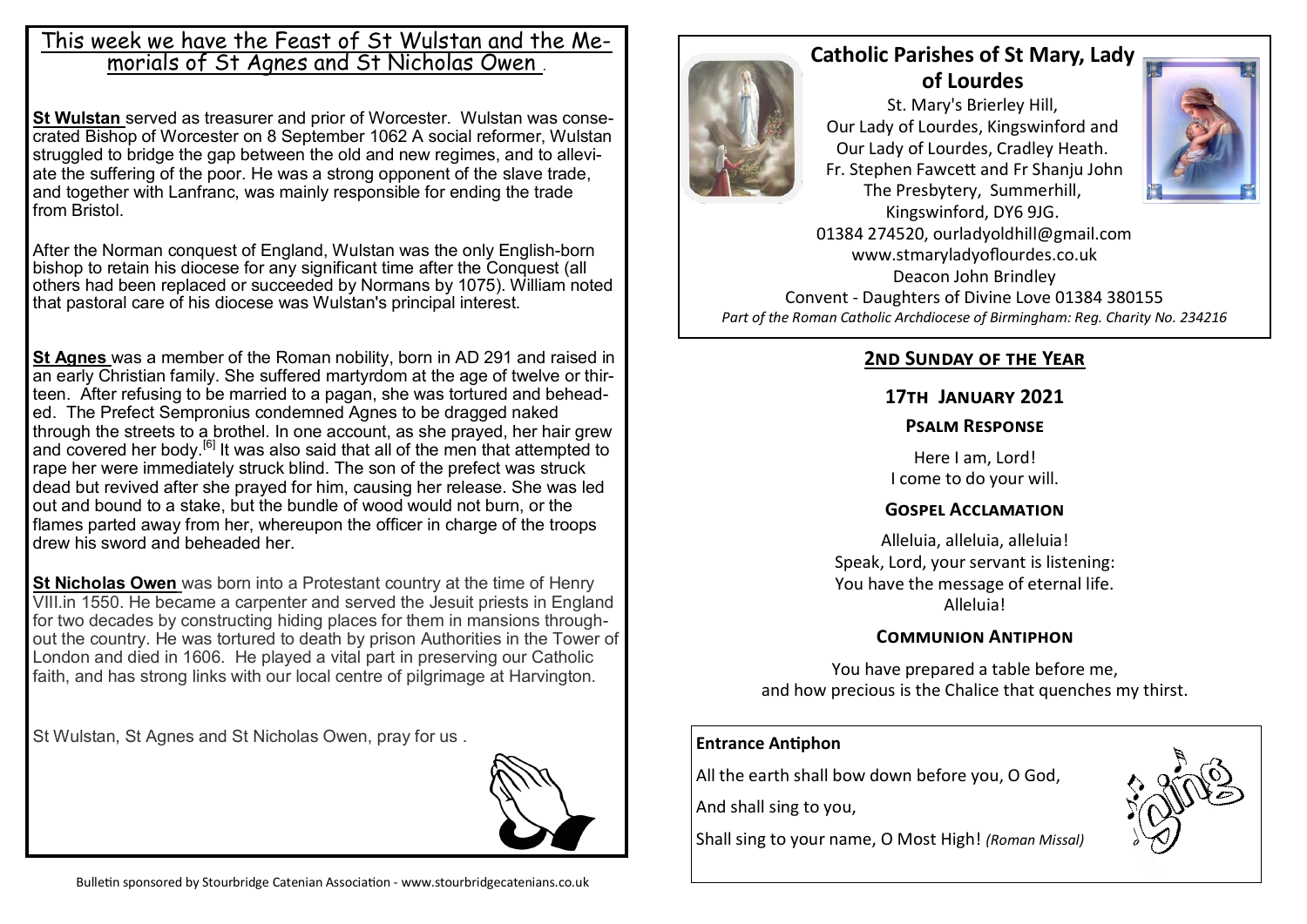## This week we have the Feast of St Wulstan and the Memorials of St Agnes and St Nicholas Owen *.*

**St Wulstan** served as [treasurer](https://en.wikipedia.org/wiki/Treasurer) and [prior](https://en.wikipedia.org/wiki/Prior) of Worcester. Wulstan was consecrated Bishop of Worcester on 8 September 1062 A social reformer, Wulstan struggled to bridge the gap between the old and new regimes, and to alleviate the suffering of the poor. He was a strong opponent of the [slave trade,](https://en.wikipedia.org/wiki/Slave_trade)  and together with Lanfranc, was mainly responsible for ending the trade from [Bristol.](https://en.wikipedia.org/wiki/Bristol)

After the [Norman conquest of England,](https://en.wikipedia.org/wiki/Norman_conquest_of_England) Wulstan was the only English-born bishop to retain his diocese for any significant time after the Conquest (all others had been replaced or succeeded by Normans by 1075). William noted that pastoral care of his diocese was Wulstan's principal interest.

**St Agnes** was a member of the [Roman](https://en.wikipedia.org/wiki/Ancient_Rome) nobility, born in AD 291 and raised in an early Christian family. She suffered martyrdom at the age of twelve or thirteen. After refusing to be married to a pagan, she was tortured and beheaded. The [Prefect](https://en.wikipedia.org/wiki/Prefect) Sempronius condemned Agnes to be dragged naked through the streets to a brothel. In one account, as she prayed, her hair grew and covered her body.<sup>[\[6\]](https://en.wikipedia.org/wiki/Agnes_of_Rome#cite_note-aoca-6)</sup> It was also said that all of the men that attempted to rape her were immediately struck blind. The son of the prefect was struck dead but revived after she prayed for him, causing her release. She was led out and [bound to a stake,](https://en.wikipedia.org/wiki/Burning_at_the_stake) but the bundle of wood would not burn, or the flames parted away from her, whereupon the officer in charge of the troops drew his [sword](https://en.wikipedia.org/wiki/Sword) and [beheaded](https://en.wikipedia.org/wiki/Decapitation) her.

**St Nicholas Owen** was born into a Protestant country at the time of Henry VIII.in 1550. He became a carpenter and served the Jesuit priests in England for two decades by constructing hiding places for them in mansions throughout the country. He was tortured to death by prison Authorities in the Tower of London and died in 1606. He played a vital part in preserving our Catholic faith, and has strong links with our local centre of pilgrimage at Harvington.

St Wulstan, St Agnes and St Nicholas Owen, pray for us .





# **Catholic Parishes of St Mary, Lady of Lourdes**

St. Mary's Brierley Hill, Our Lady of Lourdes, Kingswinford and Our Lady of Lourdes, Cradley Heath. Fr. Stephen Fawcett and Fr Shanju John The Presbytery, Summerhill,



Kingswinford, DY6 9JG. 01384 274520, ourladyoldhill@gmail.com www.stmaryladyoflourdes.co.uk Deacon John Brindley Convent - Daughters of Divine Love 01384 380155 *Part of the Roman Catholic Archdiocese of Birmingham: Reg. Charity No. 234216*

## **2nd Sunday of the Year**

#### **17th January 2021**

#### **Psalm Response**

Here I am, Lord! I come to do your will.

#### **Gospel Acclamation**

Alleluia, alleluia, alleluia! Speak, Lord, your servant is listening: You have the message of eternal life. Alleluia!

## **Communion Antiphon**

You have prepared a table before me, and how precious is the Chalice that quenches my thirst.

#### **Entrance Antiphon**

All the earth shall bow down before you, O God,

And shall sing to you,

Shall sing to your name, O Most High! *(Roman Missal)*